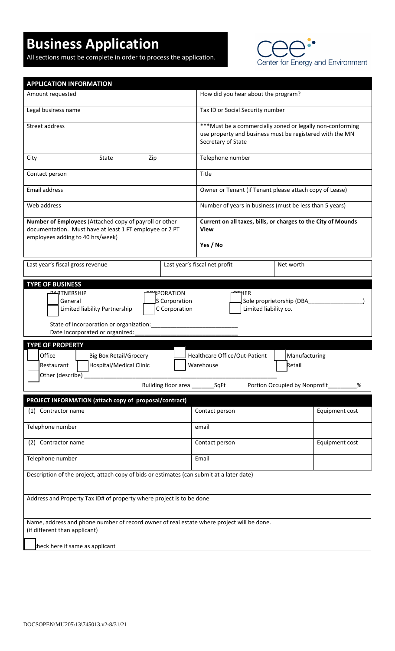## **Business Application**

All sections must be complete in order to process the application.



| <b>APPLICATION INFORMATION</b>                                                                                                                                                              |                                                                                                                                              |                |
|---------------------------------------------------------------------------------------------------------------------------------------------------------------------------------------------|----------------------------------------------------------------------------------------------------------------------------------------------|----------------|
| Amount requested                                                                                                                                                                            | How did you hear about the program?                                                                                                          |                |
| Legal business name                                                                                                                                                                         | Tax ID or Social Security number                                                                                                             |                |
| Street address                                                                                                                                                                              | *** Must be a commercially zoned or legally non-conforming<br>use property and business must be registered with the MN<br>Secretary of State |                |
| City<br>State<br>Zip                                                                                                                                                                        | Telephone number                                                                                                                             |                |
| Contact person                                                                                                                                                                              | Title                                                                                                                                        |                |
| Email address                                                                                                                                                                               | Owner or Tenant (if Tenant please attach copy of Lease)                                                                                      |                |
| Web address                                                                                                                                                                                 | Number of years in business (must be less than 5 years)                                                                                      |                |
| Number of Employees (Attached copy of payroll or other<br>documentation. Must have at least 1 FT employee or 2 PT<br>employees adding to 40 hrs/week)                                       | Current on all taxes, bills, or charges to the City of Mounds<br>View<br>Yes / No                                                            |                |
| Last year's fiscal gross revenue                                                                                                                                                            | Last year's fiscal net profit<br>Net worth                                                                                                   |                |
| <b>AARTNERSHIP</b><br>RPORATION<br>S Corporation<br>General<br>C Corporation<br>Limited liability Partnership<br>State of Incorporation or organization:<br>Date Incorporated or organized: | HER.<br>Sole proprietorship (DBA<br>Limited liability co.                                                                                    |                |
|                                                                                                                                                                                             |                                                                                                                                              |                |
| <b>TYPE OF PROPERTY</b><br>Office<br><b>Big Box Retail/Grocery</b><br>Hospital/Medical Clinic<br>Restaurant<br>Other (describe)                                                             | Healthcare Office/Out-Patient<br>Manufacturing<br>Retail<br>Warehouse                                                                        |                |
| Building floor area _________ SqFt                                                                                                                                                          | Portion Occupied by Nonprofit                                                                                                                | %              |
| PROJECT INFORMATION (attach copy of proposal/contract)                                                                                                                                      |                                                                                                                                              |                |
| (1) Contractor name                                                                                                                                                                         | Contact person                                                                                                                               | Equipment cost |
| Telephone number                                                                                                                                                                            | email                                                                                                                                        |                |
| (2)<br>Contractor name                                                                                                                                                                      | Contact person                                                                                                                               | Equipment cost |
| Telephone number                                                                                                                                                                            | Email                                                                                                                                        |                |
| Description of the project, attach copy of bids or estimates (can submit at a later date)                                                                                                   |                                                                                                                                              |                |
| Address and Property Tax ID# of property where project is to be done                                                                                                                        |                                                                                                                                              |                |
| Name, address and phone number of record owner of real estate where project will be done.<br>(if different than applicant)                                                                  |                                                                                                                                              |                |
| heck here if same as applicant                                                                                                                                                              |                                                                                                                                              |                |